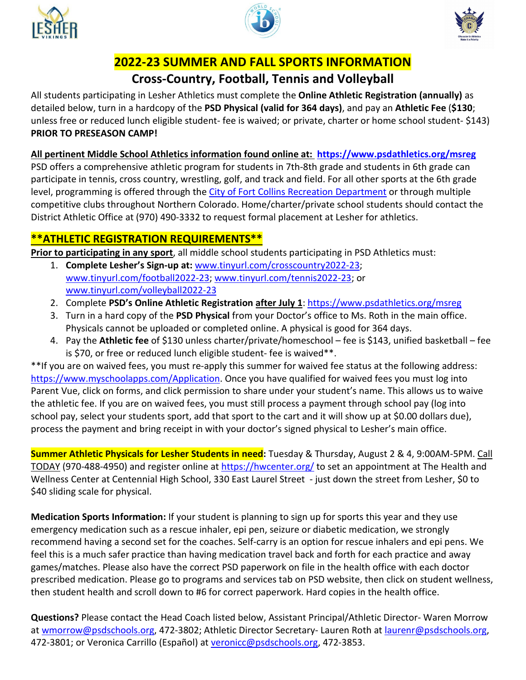





## **2022-23 SUMMER AND FALL SPORTS INFORMATION**

## **Cross-Country, Football, Tennis and Volleyball**

All students participating in Lesher Athletics must complete the **Online Athletic Registration (annually)** as detailed below, turn in a hardcopy of the **PSD Physical (valid for 364 days)**, and pay an **Athletic Fee** (**\$130**; unless free or reduced lunch eligible student- fee is waived; or private, charter or home school student- \$143) **PRIOR TO PRESEASON CAMP!**

**All pertinent Middle School Athletics information found online at: <https://www.psdathletics.org/msreg>** PSD offers a comprehensive athletic program for students in 7th-8th grade and students in 6th grade can participate in tennis, cross country, wrestling, golf, and track and field. For all other sports at the 6th grade level, programming is offered through the [City of Fort Collins Recreation Department](https://www.fcgov.com/sports/) or through multiple competitive clubs throughout Northern Colorado. Home/charter/private school students should contact the District Athletic Office at (970) 490-3332 to request formal placement at Lesher for athletics.

## **\*\*ATHLETIC REGISTRATION REQUIREMENTS\*\***

**Prior to participating in any sport**, all middle school students participating in PSD Athletics must:

- 1. **Complete Lesher's Sign-up at:** [www.tinyurl.com/crosscountry2022-23;](http://www.tinyurl.com/crosscountry2022-23) [www.tinyurl.com/football2022-23;](http://www.tinyurl.com/football2022-23) [www.tinyurl.com/tennis2022-23;](http://www.tinyurl.com/tennis2022-23) or [www.tinyurl.com/volleyball2022-23](http://www.tinyurl.com/volleyball2022-23)
- 2. Complete **PSD's Online Athletic Registration after July 1**:<https://www.psdathletics.org/msreg>
- 3. Turn in a hard copy of the **PSD Physical** from your Doctor's office to Ms. Roth in the main office. Physicals cannot be uploaded or completed online. A physical is good for 364 days.
- 4. Pay the **Athletic fee** of \$130 unless charter/private/homeschool fee is \$143, unified basketball fee is \$70, or free or reduced lunch eligible student- fee is waived\*\*.

\*\*If you are on waived fees, you must re-apply this summer for waived fee status at the following address: [https://www.myschoolapps.com/Application.](https://www.myschoolapps.com/Application) Once you have qualified for waived fees you must log into Parent Vue, click on forms, and click permission to share under your student's name. This allows us to waive the athletic fee. If you are on waived fees, you must still process a payment through school pay (log into school pay, select your students sport, add that sport to the cart and it will show up at \$0.00 dollars due), process the payment and bring receipt in with your doctor's signed physical to Lesher's main office.

**Summer Athletic Physicals for Lesher Students in need:** Tuesday & Thursday, August 2 & 4, 9:00AM-5PM. Call TODAY (970-488-4950) and register online a[t https://hwcenter.org/](https://hwcenter.org/) to set an appointment at The Health and Wellness Center at Centennial High School, 330 East Laurel Street - just down the street from Lesher, \$0 to \$40 sliding scale for physical.

**Medication Sports Information:** If your student is planning to sign up for sports this year and they use emergency medication such as a rescue inhaler, epi pen, seizure or diabetic medication, we strongly recommend having a second set for the coaches. Self-carry is an option for rescue inhalers and epi pens. We feel this is a much safer practice than having medication travel back and forth for each practice and away games/matches. Please also have the correct PSD paperwork on file in the health office with each doctor prescribed medication. Please go to programs and services tab on PSD website, then click on student wellness, then student health and scroll down to #6 for correct paperwork. Hard copies in the health office.

**Questions?** Please contact the Head Coach listed below, Assistant Principal/Athletic Director- Waren Morrow at [wmorrow@psdschools.org,](mailto:wmorrow@psdschools.org) 472-3802; Athletic Director Secretary- Lauren Roth at [laurenr@psdschools.org,](mailto:laurenr@psdschools.org) 472-3801; or Veronica Carrillo (Español) at [veronicc@psdschools.org,](mailto:veronicc@psdschools.org) 472-3853.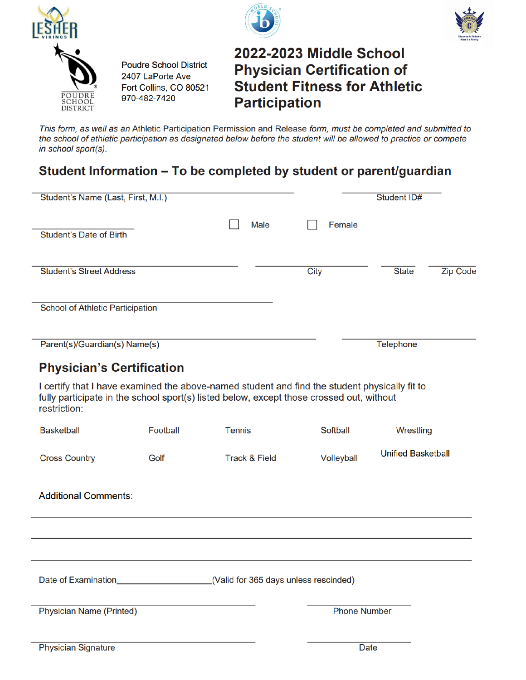





# 2022-2023 Middle School **Physician Certification of Student Fitness for Athletic Participation**

This form, as well as an Athletic Participation Permission and Release form, must be completed and submitted to the school of athletic participation as designated below before the student will be allowed to practice or compete in school sport(s).

## Student Information - To be completed by student or parent/guardian

**Poudre School District** 

Fort Collins, CO 80521

2407 LaPorte Ave

970-482-7420

| Student's Name (Last, First, M.I.)                                                                                                                                                                        |          |                          |                                       | <b>Student ID#</b>              |
|-----------------------------------------------------------------------------------------------------------------------------------------------------------------------------------------------------------|----------|--------------------------|---------------------------------------|---------------------------------|
| Student's Date of Birth                                                                                                                                                                                   |          | Male                     | Female                                |                                 |
| <b>Student's Street Address</b>                                                                                                                                                                           |          |                          | City                                  | <b>State</b><br><b>Zip Code</b> |
| School of Athletic Participation                                                                                                                                                                          |          |                          |                                       |                                 |
| Parent(s)/Guardian(s) Name(s)                                                                                                                                                                             |          |                          |                                       | Telephone                       |
| <b>Physician's Certification</b>                                                                                                                                                                          |          |                          |                                       |                                 |
| I certify that I have examined the above-named student and find the student physically fit to<br>fully participate in the school sport(s) listed below, except those crossed out, without<br>restriction: |          |                          |                                       |                                 |
| <b>Basketball</b>                                                                                                                                                                                         | Football | <b>Tennis</b>            | <b>Softball</b>                       | Wrestling                       |
| <b>Cross Country</b>                                                                                                                                                                                      | Golf     | <b>Track &amp; Field</b> | Volleyball                            | <b>Unified Basketball</b>       |
| <b>Additional Comments:</b>                                                                                                                                                                               |          |                          |                                       |                                 |
|                                                                                                                                                                                                           |          |                          |                                       |                                 |
|                                                                                                                                                                                                           |          |                          |                                       |                                 |
| Date of Examination <b>Date of Examination</b>                                                                                                                                                            |          |                          | (Valid for 365 days unless rescinded) |                                 |
| <b>Physician Name (Printed)</b>                                                                                                                                                                           |          |                          | <b>Phone Number</b>                   |                                 |
|                                                                                                                                                                                                           |          |                          |                                       |                                 |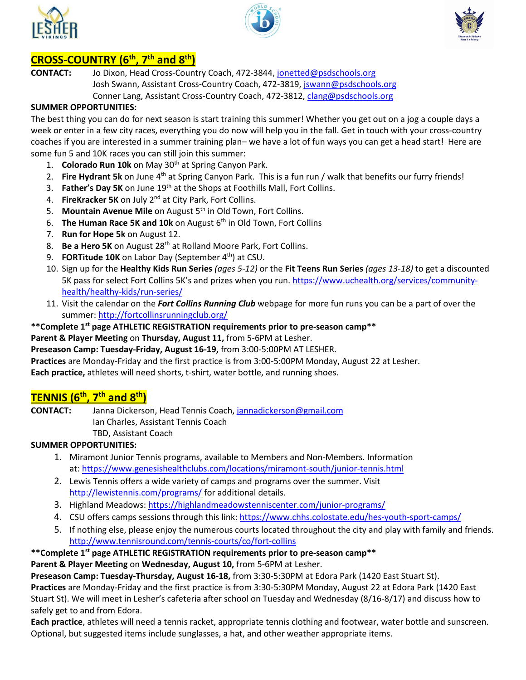





### **CROSS-COUNTRY (6th, 7th and 8th)**

**CONTACT:** Jo Dixon, Head Cross-Country Coach, 472-3844[, jonetted@psdschools.org](mailto:jonetted@psdschools.org) Josh Swann, Assistant Cross-Country Coach, 472-3819[, jswann@psdschools.org](mailto:jswann@psdschools.org)

Conner Lang, Assistant Cross-Country Coach, 472-3812[, clang@psdschools.org](mailto:clang@psdschools.org)

#### **SUMMER OPPORTUNITIES:**

The best thing you can do for next season is start training this summer! Whether you get out on a jog a couple days a week or enter in a few city races, everything you do now will help you in the fall. Get in touch with your cross-country coaches if you are interested in a summer training plan– we have a lot of fun ways you can get a head start! Here are some fun 5 and 10K races you can still join this summer:

- 1. **Colorado Run 10k** on May 30th at Spring Canyon Park.
- 2. **Fire Hydrant 5k** on June 4<sup>th</sup> at Spring Canyon Park. This is a fun run / walk that benefits our furry friends!
- 3. **Father's Day 5K** on June 19th at the Shops at Foothills Mall, Fort Collins.
- 4. **FireKracker 5K** on July 2nd at City Park, Fort Collins.
- 5. **Mountain Avenue Mile** on August 5<sup>th</sup> in Old Town, Fort Collins.
- 6. **The Human Race 5K and 10k** on August 6<sup>th</sup> in Old Town, Fort Collins
- 7. **Run for Hope 5k** on August 12.
- 8. **Be a Hero 5K** on August 28th at Rolland Moore Park, Fort Collins.
- 9. **FORTitude 10K** on Labor Day (September 4<sup>th</sup>) at CSU.
- 10. Sign up for the **Healthy Kids Run Series** *(ages 5-12)* or the **Fit Teens Run Series** *(ages 13-18)* to get a discounted 5K pass for select Fort Collins 5K's and prizes when you run. [https://www.uchealth.org/services/community](https://nam12.safelinks.protection.outlook.com/?url=https%3A%2F%2Fwww.uchealth.org%2Fservices%2Fcommunity-health%2Fhealthy-kids%2Frun-series%2F&data=05%7C01%7Cwmorrow%40psdschools.org%7Cd5a334b014ad43edce2808da2c775909%7C0d6d846ceadd4b6cb03ef15cd4b7e9cf%7C0%7C0%7C637871188344424160%7CUnknown%7CTWFpbGZsb3d8eyJWIjoiMC4wLjAwMDAiLCJQIjoiV2luMzIiLCJBTiI6Ik1haWwiLCJXVCI6Mn0%3D%7C3000%7C%7C%7C&sdata=rngVpEE7Ryg8EOesjXQkMH20lt4KKKIPP343n2YoOv0%3D&reserved=0)[health/healthy-kids/run-series/](https://nam12.safelinks.protection.outlook.com/?url=https%3A%2F%2Fwww.uchealth.org%2Fservices%2Fcommunity-health%2Fhealthy-kids%2Frun-series%2F&data=05%7C01%7Cwmorrow%40psdschools.org%7Cd5a334b014ad43edce2808da2c775909%7C0d6d846ceadd4b6cb03ef15cd4b7e9cf%7C0%7C0%7C637871188344424160%7CUnknown%7CTWFpbGZsb3d8eyJWIjoiMC4wLjAwMDAiLCJQIjoiV2luMzIiLCJBTiI6Ik1haWwiLCJXVCI6Mn0%3D%7C3000%7C%7C%7C&sdata=rngVpEE7Ryg8EOesjXQkMH20lt4KKKIPP343n2YoOv0%3D&reserved=0)
- 11. Visit the calendar on the *Fort Collins Running Club* webpage for more fun runs you can be a part of over the summer[: http://fortcollinsrunningclub.org/](https://nam12.safelinks.protection.outlook.com/?url=http%3A%2F%2Ffortcollinsrunningclub.org%2F&data=05%7C01%7Cwmorrow%40psdschools.org%7Cd5a334b014ad43edce2808da2c775909%7C0d6d846ceadd4b6cb03ef15cd4b7e9cf%7C0%7C0%7C637871188344424160%7CUnknown%7CTWFpbGZsb3d8eyJWIjoiMC4wLjAwMDAiLCJQIjoiV2luMzIiLCJBTiI6Ik1haWwiLCJXVCI6Mn0%3D%7C3000%7C%7C%7C&sdata=OMhjC2XCX3QHiIN807xisolzfYKcajqkHTtu8m5lVuI%3D&reserved=0)

#### **\*\*Complete 1st page ATHLETIC REGISTRATION requirements prior to pre-season camp\*\***

**Parent & Player Meeting** on **Thursday, August 11,** from 5-6PM at Lesher.

**Preseason Camp: Tuesday-Friday, August 16-19,** from 3:00-5:00PM AT LESHER.

**Practices** are Monday-Friday and the first practice is from 3:00-5:00PM Monday, August 22 at Lesher.

**Each practice,** athletes will need shorts, t-shirt, water bottle, and running shoes.

### **TENNIS (6th, 7th and 8th)**

**CONTACT:** Janna Dickerson, Head Tennis Coach[, jannadickerson@gmail.com](mailto:jannadickerson@gmail.com) Ian Charles, Assistant Tennis Coach TBD, Assistant Coach

#### **SUMMER OPPORTUNITIES:**

- 1. Miramont Junior Tennis programs, available to Members and Non-Members. Information at: <https://www.genesishealthclubs.com/locations/miramont-south/junior-tennis.html>
- 2. Lewis Tennis offers a wide variety of camps and programs over the summer. Visit <http://lewistennis.com/programs/> for additional details.
- 3. Highland Meadows: https://highlandmeadowstenniscenter.com/junior-programs/
- 4. CSU offers camps sessions through this link:<https://www.chhs.colostate.edu/hes-youth-sport-camps/>
- 5. If nothing else, please enjoy the numerous courts located throughout the city and play with family and friends. <http://www.tennisround.com/tennis-courts/co/fort-collins>
- **\*\*Complete 1st page ATHLETIC REGISTRATION requirements prior to pre-season camp\*\***

**Parent & Player Meeting** on **Wednesday, August 10,** from 5-6PM at Lesher.

**Preseason Camp: Tuesday-Thursday, August 16-18,** from 3:30-5:30PM at Edora Park (1420 East Stuart St).

**Practices** are Monday-Friday and the first practice is from 3:30-5:30PM Monday, August 22 at Edora Park (1420 East Stuart St). We will meet in Lesher's cafeteria after school on Tuesday and Wednesday (8/16-8/17) and discuss how to safely get to and from Edora.

**Each practice**, athletes will need a tennis racket, appropriate tennis clothing and footwear, water bottle and sunscreen. Optional, but suggested items include sunglasses, a hat, and other weather appropriate items.